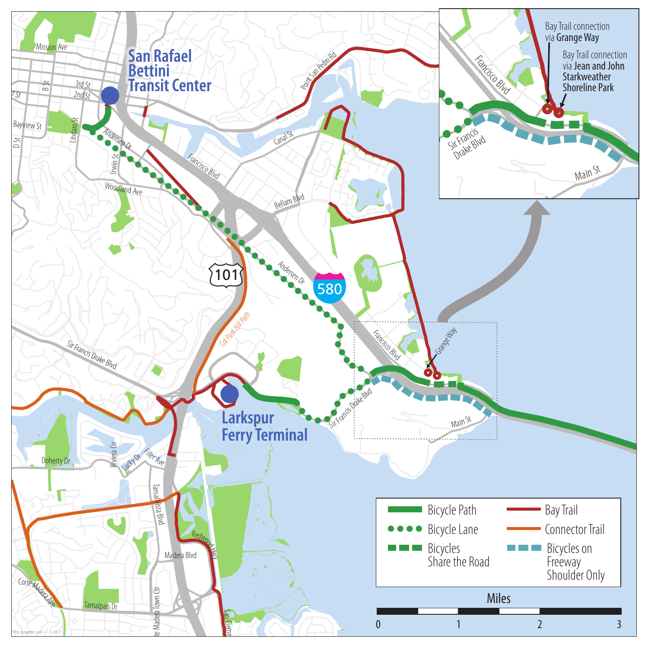